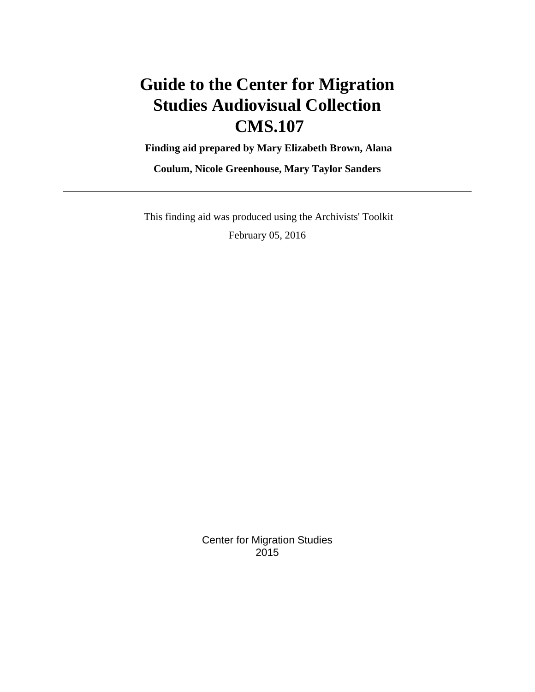# **Guide to the Center for Migration Studies Audiovisual Collection CMS.107**

 **Finding aid prepared by Mary Elizabeth Brown, Alana**

**Coulum, Nicole Greenhouse, Mary Taylor Sanders**

 This finding aid was produced using the Archivists' Toolkit February 05, 2016

> Center for Migration Studies 2015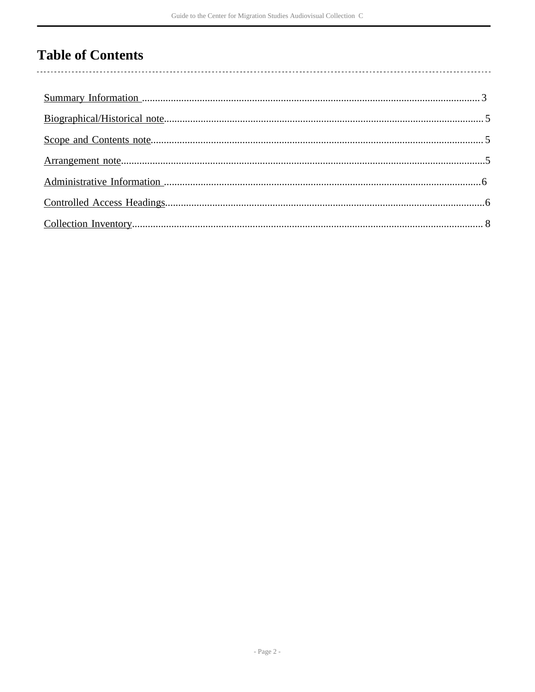# **Table of Contents**

 $\overline{\phantom{a}}$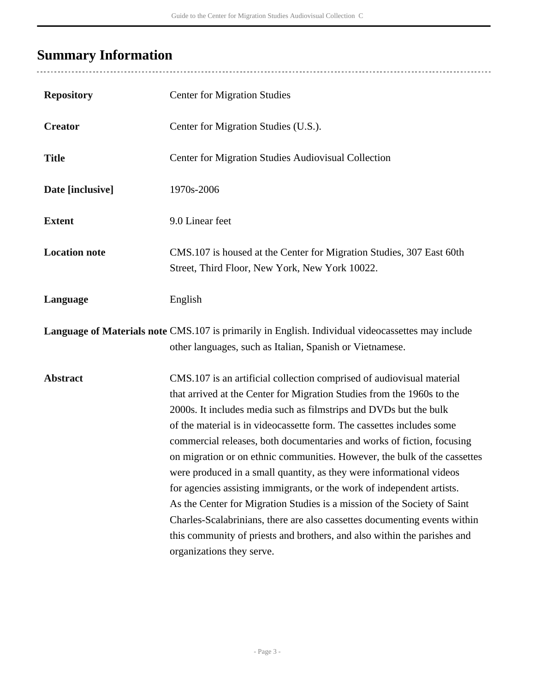# <span id="page-2-0"></span>**Summary Information**

÷,

| <b>Repository</b>    | <b>Center for Migration Studies</b>                                                                                                                                                                                                                                                                                                                                                                                                                                                                                                                                                                                                                                                                                                                                                                                                                                      |
|----------------------|--------------------------------------------------------------------------------------------------------------------------------------------------------------------------------------------------------------------------------------------------------------------------------------------------------------------------------------------------------------------------------------------------------------------------------------------------------------------------------------------------------------------------------------------------------------------------------------------------------------------------------------------------------------------------------------------------------------------------------------------------------------------------------------------------------------------------------------------------------------------------|
| <b>Creator</b>       | Center for Migration Studies (U.S.).                                                                                                                                                                                                                                                                                                                                                                                                                                                                                                                                                                                                                                                                                                                                                                                                                                     |
| <b>Title</b>         | Center for Migration Studies Audiovisual Collection                                                                                                                                                                                                                                                                                                                                                                                                                                                                                                                                                                                                                                                                                                                                                                                                                      |
| Date [inclusive]     | 1970s-2006                                                                                                                                                                                                                                                                                                                                                                                                                                                                                                                                                                                                                                                                                                                                                                                                                                                               |
| <b>Extent</b>        | 9.0 Linear feet                                                                                                                                                                                                                                                                                                                                                                                                                                                                                                                                                                                                                                                                                                                                                                                                                                                          |
| <b>Location note</b> | CMS.107 is housed at the Center for Migration Studies, 307 East 60th<br>Street, Third Floor, New York, New York 10022.                                                                                                                                                                                                                                                                                                                                                                                                                                                                                                                                                                                                                                                                                                                                                   |
| Language             | English                                                                                                                                                                                                                                                                                                                                                                                                                                                                                                                                                                                                                                                                                                                                                                                                                                                                  |
|                      | <b>Language of Materials note CMS.107</b> is primarily in English. Individual videocassettes may include<br>other languages, such as Italian, Spanish or Vietnamese.                                                                                                                                                                                                                                                                                                                                                                                                                                                                                                                                                                                                                                                                                                     |
| <b>Abstract</b>      | CMS.107 is an artificial collection comprised of audiovisual material<br>that arrived at the Center for Migration Studies from the 1960s to the<br>2000s. It includes media such as filmstrips and DVDs but the bulk<br>of the material is in videocassette form. The cassettes includes some<br>commercial releases, both documentaries and works of fiction, focusing<br>on migration or on ethnic communities. However, the bulk of the cassettes<br>were produced in a small quantity, as they were informational videos<br>for agencies assisting immigrants, or the work of independent artists.<br>As the Center for Migration Studies is a mission of the Society of Saint<br>Charles-Scalabrinians, there are also cassettes documenting events within<br>this community of priests and brothers, and also within the parishes and<br>organizations they serve. |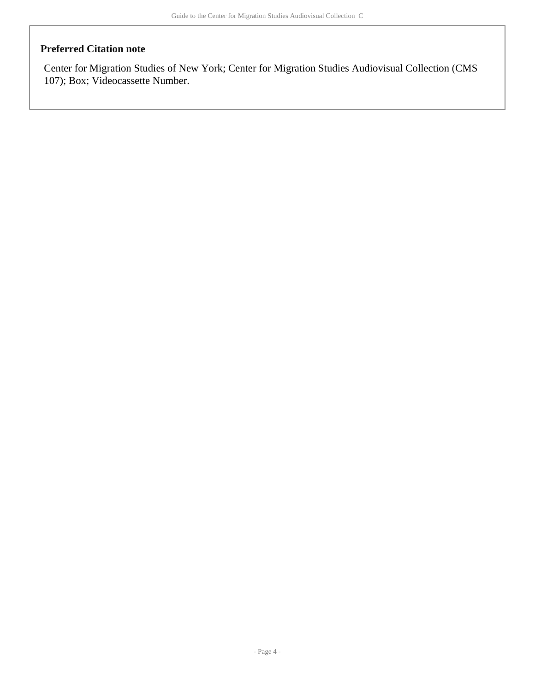#### **Preferred Citation note**

Center for Migration Studies of New York; Center for Migration Studies Audiovisual Collection (CMS 107); Box; Videocassette Number.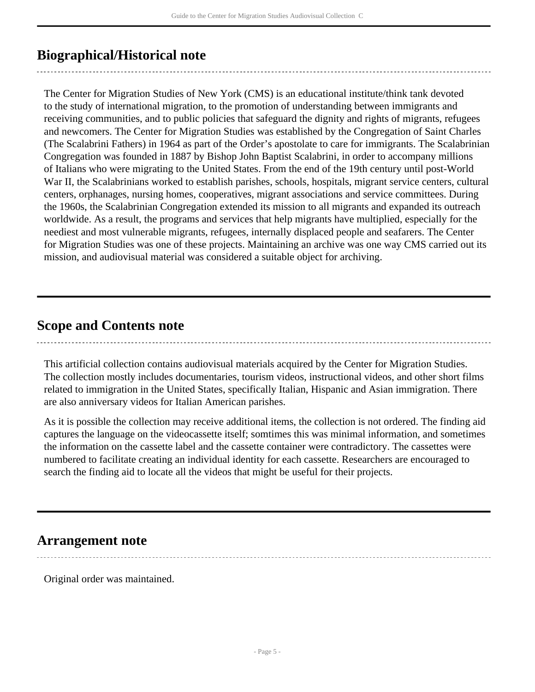# <span id="page-4-0"></span>**Biographical/Historical note**

The Center for Migration Studies of New York (CMS) is an educational institute/think tank devoted to the study of international migration, to the promotion of understanding between immigrants and receiving communities, and to public policies that safeguard the dignity and rights of migrants, refugees and newcomers. The Center for Migration Studies was established by the Congregation of Saint Charles (The Scalabrini Fathers) in 1964 as part of the Order's apostolate to care for immigrants. The Scalabrinian Congregation was founded in 1887 by Bishop John Baptist Scalabrini, in order to accompany millions of Italians who were migrating to the United States. From the end of the 19th century until post-World War II, the Scalabrinians worked to establish parishes, schools, hospitals, migrant service centers, cultural centers, orphanages, nursing homes, cooperatives, migrant associations and service committees. During the 1960s, the Scalabrinian Congregation extended its mission to all migrants and expanded its outreach worldwide. As a result, the programs and services that help migrants have multiplied, especially for the neediest and most vulnerable migrants, refugees, internally displaced people and seafarers. The Center for Migration Studies was one of these projects. Maintaining an archive was one way CMS carried out its mission, and audiovisual material was considered a suitable object for archiving.

## <span id="page-4-1"></span>**Scope and Contents note**

This artificial collection contains audiovisual materials acquired by the Center for Migration Studies. The collection mostly includes documentaries, tourism videos, instructional videos, and other short films related to immigration in the United States, specifically Italian, Hispanic and Asian immigration. There are also anniversary videos for Italian American parishes.

As it is possible the collection may receive additional items, the collection is not ordered. The finding aid captures the language on the videocassette itself; somtimes this was minimal information, and sometimes the information on the cassette label and the cassette container were contradictory. The cassettes were numbered to facilitate creating an individual identity for each cassette. Researchers are encouraged to search the finding aid to locate all the videos that might be useful for their projects.

## <span id="page-4-2"></span>**Arrangement note**

Original order was maintained.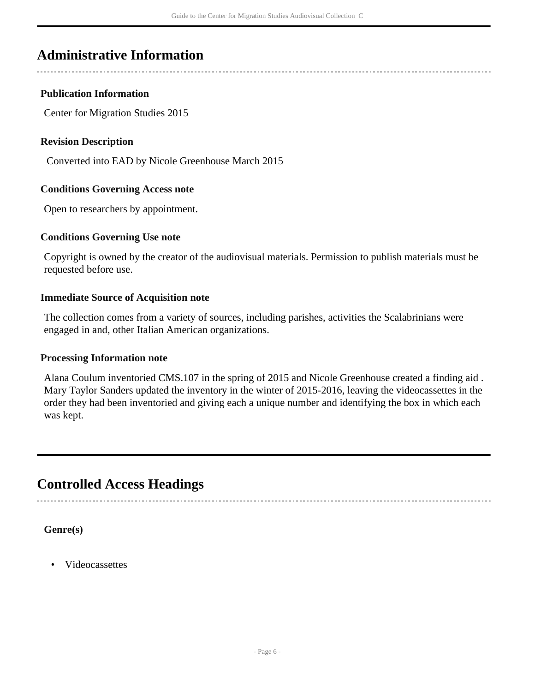# <span id="page-5-0"></span>**Administrative Information**

#### **Publication Information**

Center for Migration Studies 2015

#### **Revision Description**

Converted into EAD by Nicole Greenhouse March 2015

#### **Conditions Governing Access note**

Open to researchers by appointment.

#### **Conditions Governing Use note**

Copyright is owned by the creator of the audiovisual materials. Permission to publish materials must be requested before use.

#### **Immediate Source of Acquisition note**

The collection comes from a variety of sources, including parishes, activities the Scalabrinians were engaged in and, other Italian American organizations.

#### **Processing Information note**

Alana Coulum inventoried CMS.107 in the spring of 2015 and Nicole Greenhouse created a finding aid . Mary Taylor Sanders updated the inventory in the winter of 2015-2016, leaving the videocassettes in the order they had been inventoried and giving each a unique number and identifying the box in which each was kept.

## <span id="page-5-1"></span>**Controlled Access Headings**

**Genre(s)**

• Videocassettes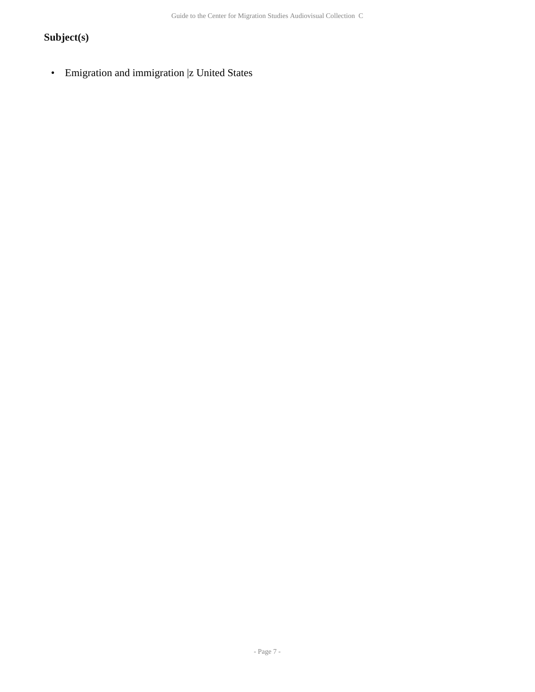## **Subject(s)**

• Emigration and immigration |z United States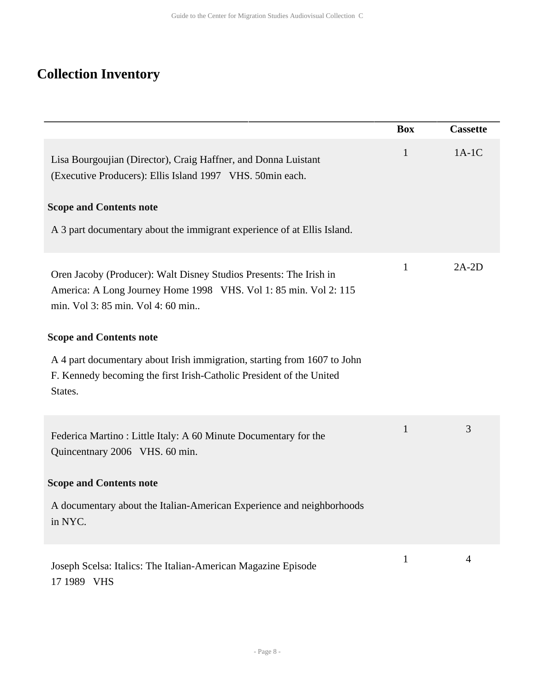# <span id="page-7-0"></span>**Collection Inventory**

|                                                                                                                                                                             | <b>Box</b>   | <b>Cassette</b> |
|-----------------------------------------------------------------------------------------------------------------------------------------------------------------------------|--------------|-----------------|
| Lisa Bourgoujian (Director), Craig Haffner, and Donna Luistant<br>(Executive Producers): Ellis Island 1997 VHS. 50min each.<br><b>Scope and Contents note</b>               | $\mathbf{1}$ | $1A-1C$         |
| A 3 part documentary about the immigrant experience of at Ellis Island.                                                                                                     |              |                 |
| Oren Jacoby (Producer): Walt Disney Studios Presents: The Irish in<br>America: A Long Journey Home 1998 VHS. Vol 1: 85 min. Vol 2: 115<br>min. Vol 3: 85 min. Vol 4: 60 min | $\mathbf{1}$ | $2A-2D$         |
| <b>Scope and Contents note</b>                                                                                                                                              |              |                 |
| A 4 part documentary about Irish immigration, starting from 1607 to John<br>F. Kennedy becoming the first Irish-Catholic President of the United<br>States.                 |              |                 |
| Federica Martino: Little Italy: A 60 Minute Documentary for the<br>Quincentnary 2006 VHS. 60 min.                                                                           | 1            | 3               |
| <b>Scope and Contents note</b>                                                                                                                                              |              |                 |
| A documentary about the Italian-American Experience and neighborhoods<br>in NYC.                                                                                            |              |                 |
| Joseph Scelsa: Italics: The Italian-American Magazine Episode<br>17 1989 VHS                                                                                                | $\mathbf{1}$ | 4               |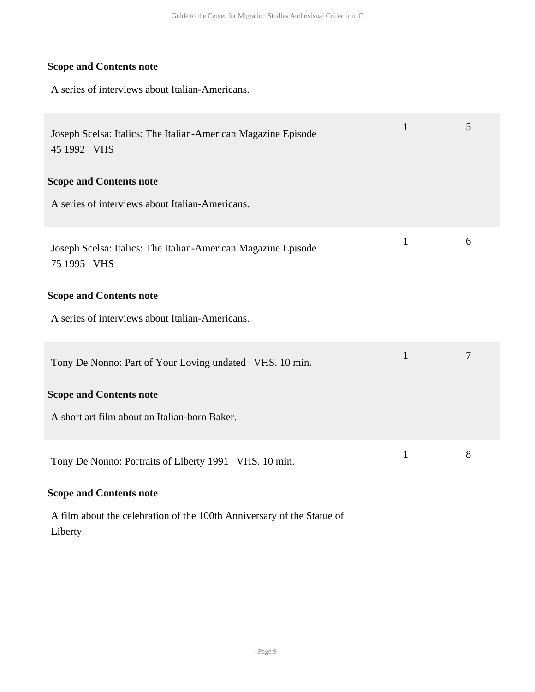A series of interviews about Italian-Americans.

| Joseph Scelsa: Italics: The Italian-American Magazine Episode<br>45 1992 VHS | $\mathbf{1}$ | 5 |
|------------------------------------------------------------------------------|--------------|---|
| <b>Scope and Contents note</b>                                               |              |   |
| A series of interviews about Italian-Americans.                              |              |   |
| Joseph Scelsa: Italics: The Italian-American Magazine Episode<br>75 1995 VHS | $\mathbf{1}$ | 6 |
| <b>Scope and Contents note</b>                                               |              |   |
| A series of interviews about Italian-Americans.                              |              |   |
| Tony De Nonno: Part of Your Loving undated VHS. 10 min.                      | $\mathbf{1}$ | 7 |
| <b>Scope and Contents note</b>                                               |              |   |
| A short art film about an Italian-born Baker.                                |              |   |
| Tony De Nonno: Portraits of Liberty 1991 VHS. 10 min.                        | $\mathbf{1}$ | 8 |
| <b>Scope and Contents note</b>                                               |              |   |

A film about the celebration of the 100th Anniversary of the Statue of Liberty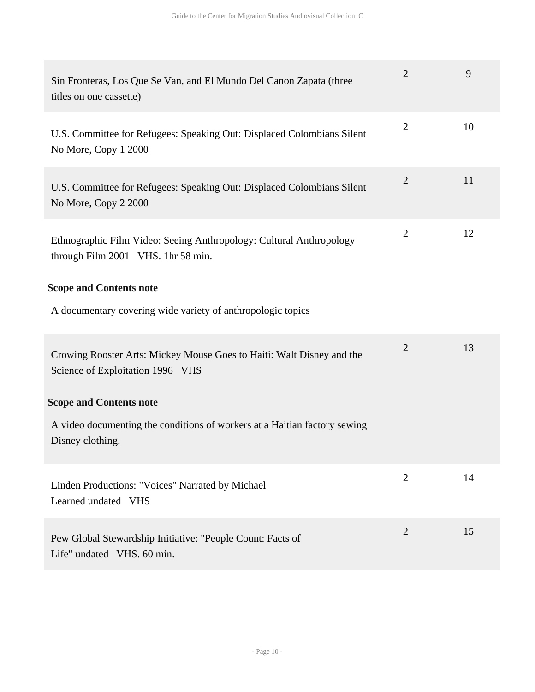| Sin Fronteras, Los Que Se Van, and El Mundo Del Canon Zapata (three<br>titles on one cassette)            | $\overline{2}$ | 9  |
|-----------------------------------------------------------------------------------------------------------|----------------|----|
| U.S. Committee for Refugees: Speaking Out: Displaced Colombians Silent<br>No More, Copy 1 2000            | $\overline{2}$ | 10 |
| U.S. Committee for Refugees: Speaking Out: Displaced Colombians Silent<br>No More, Copy 2 2000            | $\overline{2}$ | 11 |
| Ethnographic Film Video: Seeing Anthropology: Cultural Anthropology<br>through Film 2001 VHS. 1hr 58 min. | $\overline{2}$ | 12 |
| <b>Scope and Contents note</b>                                                                            |                |    |
| A documentary covering wide variety of anthropologic topics                                               |                |    |
| Crowing Rooster Arts: Mickey Mouse Goes to Haiti: Walt Disney and the<br>Science of Exploitation 1996 VHS | $\overline{2}$ | 13 |
| <b>Scope and Contents note</b>                                                                            |                |    |
| A video documenting the conditions of workers at a Haitian factory sewing<br>Disney clothing.             |                |    |
| Linden Productions: "Voices" Narrated by Michael<br>Learned undated VHS                                   | $\overline{2}$ | 14 |
| Pew Global Stewardship Initiative: "People Count: Facts of<br>Life" undated VHS. 60 min.                  | $\overline{2}$ | 15 |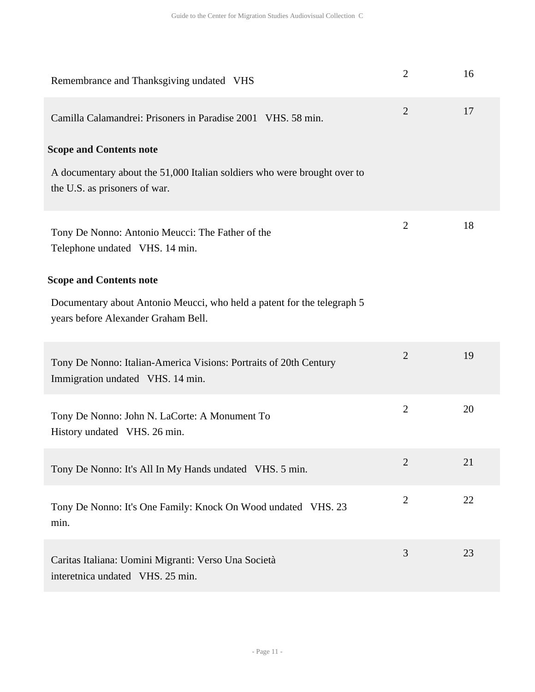| Remembrance and Thanksgiving undated VHS                                                                       | $\overline{2}$ | 16 |
|----------------------------------------------------------------------------------------------------------------|----------------|----|
| Camilla Calamandrei: Prisoners in Paradise 2001 VHS. 58 min.                                                   | $\overline{2}$ | 17 |
| <b>Scope and Contents note</b>                                                                                 |                |    |
| A documentary about the 51,000 Italian soldiers who were brought over to<br>the U.S. as prisoners of war.      |                |    |
| Tony De Nonno: Antonio Meucci: The Father of the<br>Telephone undated VHS. 14 min.                             | $\overline{2}$ | 18 |
| <b>Scope and Contents note</b>                                                                                 |                |    |
| Documentary about Antonio Meucci, who held a patent for the telegraph 5<br>years before Alexander Graham Bell. |                |    |
| Tony De Nonno: Italian-America Visions: Portraits of 20th Century<br>Immigration undated VHS. 14 min.          | $\overline{2}$ | 19 |
| Tony De Nonno: John N. LaCorte: A Monument To<br>History undated VHS. 26 min.                                  | $\overline{2}$ | 20 |
| Tony De Nonno: It's All In My Hands undated VHS. 5 min.                                                        | $\overline{2}$ | 21 |
| Tony De Nonno: It's One Family: Knock On Wood undated VHS. 23<br>min.                                          | $\overline{2}$ | 22 |
| Caritas Italiana: Uomini Migranti: Verso Una Società<br>interetnica undated VHS. 25 min.                       | 3              | 23 |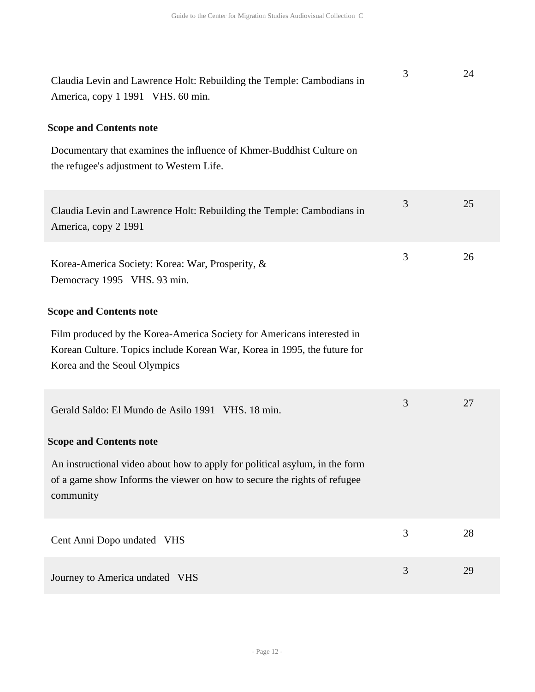| Claudia Levin and Lawrence Holt: Rebuilding the Temple: Cambodians in<br>America, copy 1 1991 VHS. 60 min.                                                                         | 3 | 24 |
|------------------------------------------------------------------------------------------------------------------------------------------------------------------------------------|---|----|
| <b>Scope and Contents note</b>                                                                                                                                                     |   |    |
| Documentary that examines the influence of Khmer-Buddhist Culture on<br>the refugee's adjustment to Western Life.                                                                  |   |    |
| Claudia Levin and Lawrence Holt: Rebuilding the Temple: Cambodians in<br>America, copy 2 1991                                                                                      | 3 | 25 |
| Korea-America Society: Korea: War, Prosperity, &<br>Democracy 1995 VHS. 93 min.                                                                                                    | 3 | 26 |
| <b>Scope and Contents note</b>                                                                                                                                                     |   |    |
| Film produced by the Korea-America Society for Americans interested in<br>Korean Culture. Topics include Korean War, Korea in 1995, the future for<br>Korea and the Seoul Olympics |   |    |
| Gerald Saldo: El Mundo de Asilo 1991 VHS. 18 min.                                                                                                                                  | 3 | 27 |
| <b>Scope and Contents note</b>                                                                                                                                                     |   |    |
| An instructional video about how to apply for political asylum, in the form<br>of a game show Informs the viewer on how to secure the rights of refugee<br>community               |   |    |
| Cent Anni Dopo undated VHS                                                                                                                                                         | 3 | 28 |
| Journey to America undated VHS                                                                                                                                                     | 3 | 29 |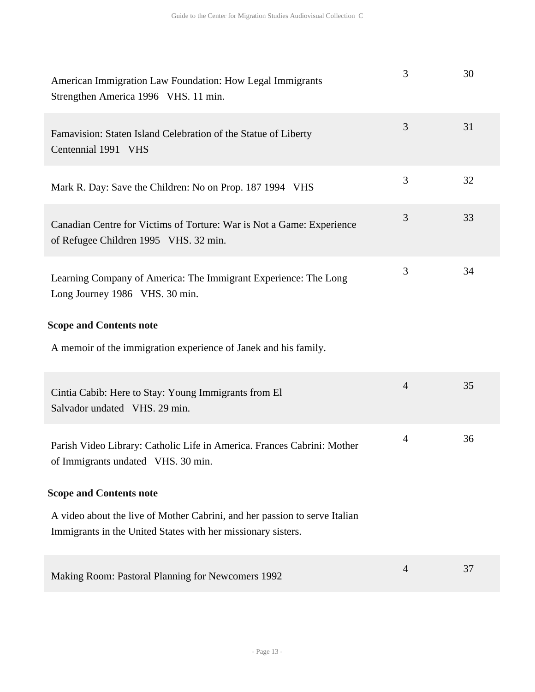| American Immigration Law Foundation: How Legal Immigrants<br>Strengthen America 1996 VHS. 11 min.                                          | 3              | 30 |
|--------------------------------------------------------------------------------------------------------------------------------------------|----------------|----|
| Famavision: Staten Island Celebration of the Statue of Liberty<br>Centennial 1991 VHS                                                      | 3              | 31 |
| Mark R. Day: Save the Children: No on Prop. 187 1994 VHS                                                                                   | 3              | 32 |
| Canadian Centre for Victims of Torture: War is Not a Game: Experience<br>of Refugee Children 1995 VHS. 32 min.                             | 3              | 33 |
| Learning Company of America: The Immigrant Experience: The Long<br>Long Journey 1986 VHS. 30 min.                                          | 3              | 34 |
| <b>Scope and Contents note</b>                                                                                                             |                |    |
| A memoir of the immigration experience of Janek and his family.                                                                            |                |    |
| Cintia Cabib: Here to Stay: Young Immigrants from El<br>Salvador undated VHS. 29 min.                                                      | $\overline{4}$ | 35 |
| Parish Video Library: Catholic Life in America. Frances Cabrini: Mother<br>of Immigrants undated VHS. 30 min.                              | $\overline{4}$ | 36 |
| <b>Scope and Contents note</b>                                                                                                             |                |    |
| A video about the live of Mother Cabrini, and her passion to serve Italian<br>Immigrants in the United States with her missionary sisters. |                |    |
| Making Room: Pastoral Planning for Newcomers 1992                                                                                          | 4              | 37 |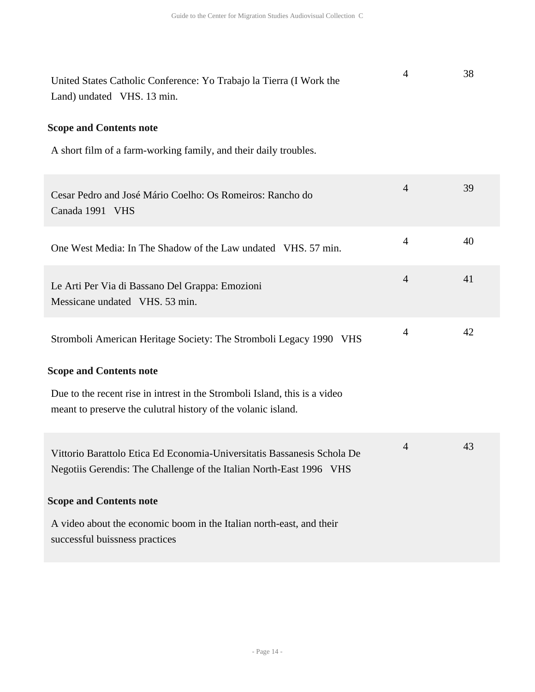| United States Catholic Conference: Yo Trabajo la Tierra (I Work the<br>Land) undated VHS. 13 min.                                              | 4              | 38 |
|------------------------------------------------------------------------------------------------------------------------------------------------|----------------|----|
| <b>Scope and Contents note</b>                                                                                                                 |                |    |
| A short film of a farm-working family, and their daily troubles.                                                                               |                |    |
| Cesar Pedro and José Mário Coelho: Os Romeiros: Rancho do<br>Canada 1991 VHS                                                                   | $\overline{4}$ | 39 |
| One West Media: In The Shadow of the Law undated VHS. 57 min.                                                                                  | $\overline{4}$ | 40 |
| Le Arti Per Via di Bassano Del Grappa: Emozioni<br>Messicane undated VHS. 53 min.                                                              | $\overline{4}$ | 41 |
| Stromboli American Heritage Society: The Stromboli Legacy 1990 VHS                                                                             | $\overline{4}$ | 42 |
| <b>Scope and Contents note</b>                                                                                                                 |                |    |
| Due to the recent rise in intrest in the Stromboli Island, this is a video<br>meant to preserve the culutral history of the volanic island.    |                |    |
| Vittorio Barattolo Etica Ed Economia-Universitatis Bassanesis Schola De<br>Negotiis Gerendis: The Challenge of the Italian North-East 1996 VHS | $\overline{4}$ | 43 |
| <b>Scope and Contents note</b>                                                                                                                 |                |    |
| A video about the economic boom in the Italian north-east, and their<br>successful buissness practices                                         |                |    |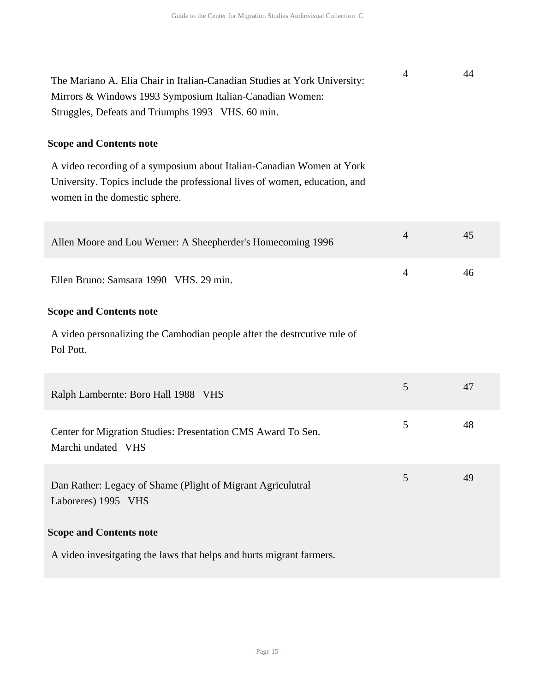| The Mariano A. Elia Chair in Italian-Canadian Studies at York University: | 44 |
|---------------------------------------------------------------------------|----|
| Mirrors & Windows 1993 Symposium Italian-Canadian Women:                  |    |
| Struggles, Defeats and Triumphs 1993 VHS. 60 min.                         |    |

A video recording of a symposium about Italian-Canadian Women at York University. Topics include the professional lives of women, education, and women in the domestic sphere.

| Allen Moore and Lou Werner: A Sheepherder's Homecoming 1996                           | $\overline{4}$ | 45 |
|---------------------------------------------------------------------------------------|----------------|----|
| Ellen Bruno: Samsara 1990 VHS. 29 min.                                                | $\overline{4}$ | 46 |
| <b>Scope and Contents note</b>                                                        |                |    |
| A video personalizing the Cambodian people after the destrcutive rule of<br>Pol Pott. |                |    |
| Ralph Lambernte: Boro Hall 1988 VHS                                                   | 5              | 47 |
| Center for Migration Studies: Presentation CMS Award To Sen.<br>Marchi undated VHS    | 5              | 48 |
| Dan Rather: Legacy of Shame (Plight of Migrant Agriculutral<br>Laboreres) 1995 VHS    | 5              | 49 |
| <b>Scope and Contents note</b>                                                        |                |    |
| A video invesitgating the laws that helps and hurts migrant farmers.                  |                |    |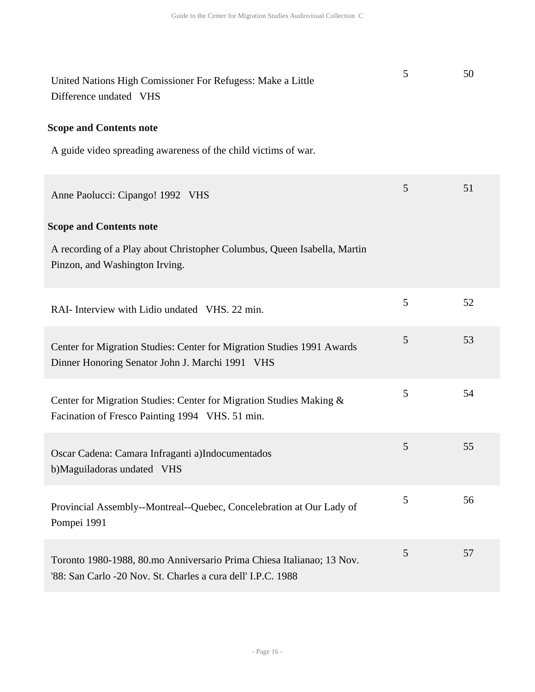| United Nations High Comissioner For Refugess: Make a Little<br>Difference undated VHS                                                 | 5 | 50 |
|---------------------------------------------------------------------------------------------------------------------------------------|---|----|
| <b>Scope and Contents note</b>                                                                                                        |   |    |
| A guide video spreading awareness of the child victims of war.                                                                        |   |    |
| Anne Paolucci: Cipango! 1992 VHS                                                                                                      | 5 | 51 |
| <b>Scope and Contents note</b>                                                                                                        |   |    |
| A recording of a Play about Christopher Columbus, Queen Isabella, Martin<br>Pinzon, and Washington Irving.                            |   |    |
| RAI- Interview with Lidio undated VHS. 22 min.                                                                                        | 5 | 52 |
| Center for Migration Studies: Center for Migration Studies 1991 Awards<br>Dinner Honoring Senator John J. Marchi 1991 VHS             | 5 | 53 |
| Center for Migration Studies: Center for Migration Studies Making &<br>Facination of Fresco Painting 1994 VHS. 51 min.                | 5 | 54 |
| Oscar Cadena: Camara Infraganti a)Indocumentados<br>b)Maguiladoras undated VHS                                                        | 5 | 55 |
| Provincial Assembly--Montreal--Quebec, Concelebration at Our Lady of<br>Pompei 1991                                                   | 5 | 56 |
| Toronto 1980-1988, 80.mo Anniversario Prima Chiesa Italianao; 13 Nov.<br>'88: San Carlo -20 Nov. St. Charles a cura dell' I.P.C. 1988 | 5 | 57 |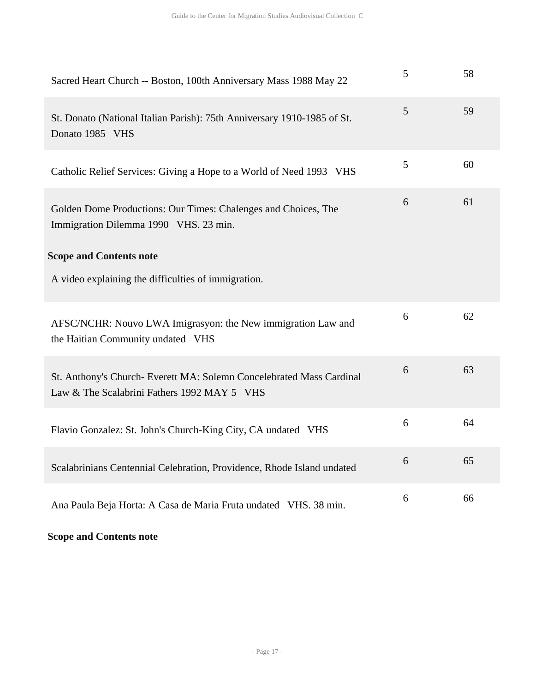| Sacred Heart Church -- Boston, 100th Anniversary Mass 1988 May 22                                                   | 5 | 58 |
|---------------------------------------------------------------------------------------------------------------------|---|----|
| St. Donato (National Italian Parish): 75th Anniversary 1910-1985 of St.<br>Donato 1985 VHS                          | 5 | 59 |
| Catholic Relief Services: Giving a Hope to a World of Need 1993 VHS                                                 | 5 | 60 |
| Golden Dome Productions: Our Times: Chalenges and Choices, The<br>Immigration Dilemma 1990 VHS. 23 min.             | 6 | 61 |
| <b>Scope and Contents note</b>                                                                                      |   |    |
| A video explaining the difficulties of immigration.                                                                 |   |    |
| AFSC/NCHR: Nouvo LWA Imigrasyon: the New immigration Law and<br>the Haitian Community undated VHS                   | 6 | 62 |
| St. Anthony's Church- Everett MA: Solemn Concelebrated Mass Cardinal<br>Law & The Scalabrini Fathers 1992 MAY 5 VHS | 6 | 63 |
| Flavio Gonzalez: St. John's Church-King City, CA undated VHS                                                        | 6 | 64 |
| Scalabrinians Centennial Celebration, Providence, Rhode Island undated                                              | 6 | 65 |
| Ana Paula Beja Horta: A Casa de Maria Fruta undated VHS. 38 min.                                                    | 6 | 66 |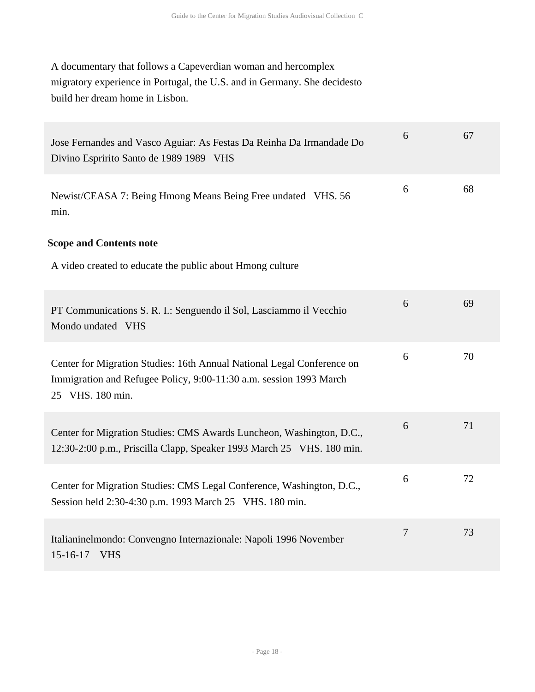A documentary that follows a Capeverdian woman and hercomplex migratory experience in Portugal, the U.S. and in Germany. She decidesto build her dream home in Lisbon.

| Jose Fernandes and Vasco Aguiar: As Festas Da Reinha Da Irmandade Do<br>Divino Espririto Santo de 1989 1989 VHS                                                  | 6      | 67 |
|------------------------------------------------------------------------------------------------------------------------------------------------------------------|--------|----|
| Newist/CEASA 7: Being Hmong Means Being Free undated VHS. 56<br>min.                                                                                             | 6      | 68 |
| <b>Scope and Contents note</b>                                                                                                                                   |        |    |
| A video created to educate the public about Hmong culture                                                                                                        |        |    |
| PT Communications S. R. I.: Senguendo il Sol, Lasciammo il Vecchio<br>Mondo undated VHS                                                                          | 6      | 69 |
| Center for Migration Studies: 16th Annual National Legal Conference on<br>Immigration and Refugee Policy, 9:00-11:30 a.m. session 1993 March<br>25 VHS. 180 min. | 6      | 70 |
| Center for Migration Studies: CMS Awards Luncheon, Washington, D.C.,<br>12:30-2:00 p.m., Priscilla Clapp, Speaker 1993 March 25 VHS. 180 min.                    | 6      | 71 |
| Center for Migration Studies: CMS Legal Conference, Washington, D.C.,<br>Session held 2:30-4:30 p.m. 1993 March 25 VHS. 180 min.                                 | 6      | 72 |
| Italianinelmondo: Convengno Internazionale: Napoli 1996 November<br>$15 - 16 - 17$<br><b>VHS</b>                                                                 | $\tau$ | 73 |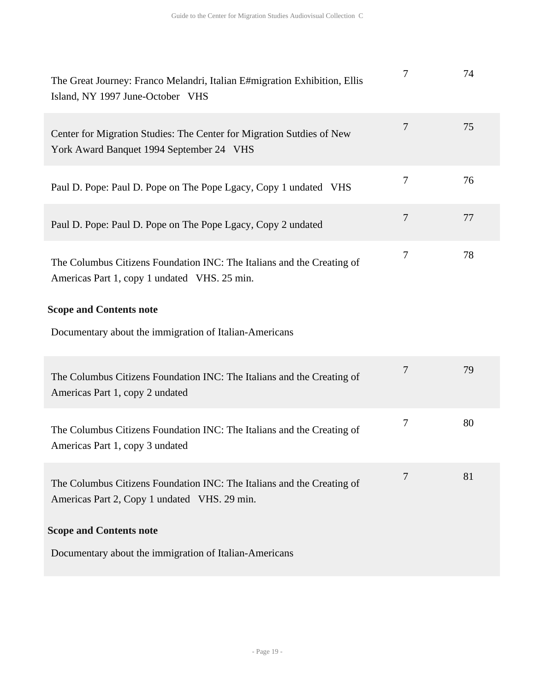| The Great Journey: Franco Melandri, Italian E#migration Exhibition, Ellis<br>Island, NY 1997 June-October VHS          | 7              | 74 |
|------------------------------------------------------------------------------------------------------------------------|----------------|----|
| Center for Migration Studies: The Center for Migration Sutdies of New<br>York Award Banquet 1994 September 24 VHS      | $\tau$         | 75 |
| Paul D. Pope: Paul D. Pope on The Pope Lgacy, Copy 1 undated VHS                                                       | $\tau$         | 76 |
| Paul D. Pope: Paul D. Pope on The Pope Lgacy, Copy 2 undated                                                           | $\overline{7}$ | 77 |
| The Columbus Citizens Foundation INC: The Italians and the Creating of<br>Americas Part 1, copy 1 undated VHS. 25 min. | 7              | 78 |
| <b>Scope and Contents note</b>                                                                                         |                |    |
| Documentary about the immigration of Italian-Americans                                                                 |                |    |
| The Columbus Citizens Foundation INC: The Italians and the Creating of<br>Americas Part 1, copy 2 undated              | 7              | 79 |
| The Columbus Citizens Foundation INC: The Italians and the Creating of<br>Americas Part 1, copy 3 undated              | 7              | 80 |
| The Columbus Citizens Foundation INC: The Italians and the Creating of<br>Americas Part 2, Copy 1 undated VHS. 29 min. | 7              | 81 |
| <b>Scope and Contents note</b>                                                                                         |                |    |
| Documentary about the immigration of Italian-Americans                                                                 |                |    |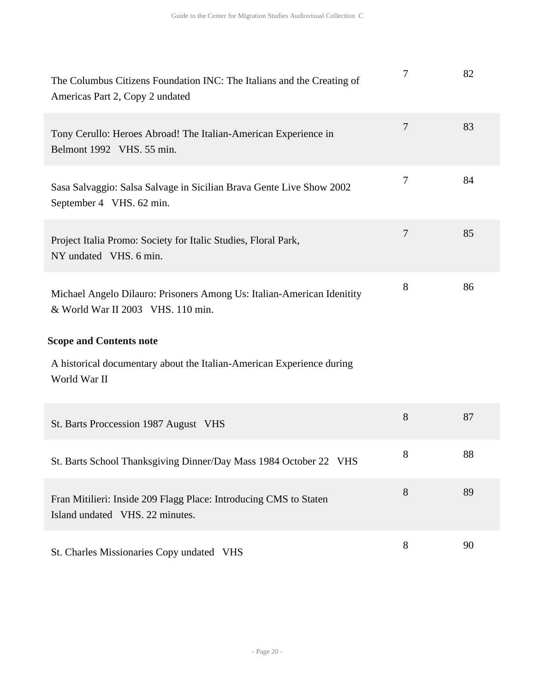| The Columbus Citizens Foundation INC: The Italians and the Creating of<br>Americas Part 2, Copy 2 undated   | 7              | 82 |
|-------------------------------------------------------------------------------------------------------------|----------------|----|
| Tony Cerullo: Heroes Abroad! The Italian-American Experience in<br>Belmont 1992 VHS. 55 min.                | $\overline{7}$ | 83 |
| Sasa Salvaggio: Salsa Salvage in Sicilian Brava Gente Live Show 2002<br>September 4 VHS. 62 min.            | $\tau$         | 84 |
| Project Italia Promo: Society for Italic Studies, Floral Park,<br>NY undated VHS. 6 min.                    | $\overline{7}$ | 85 |
| Michael Angelo Dilauro: Prisoners Among Us: Italian-American Idenitity<br>& World War II 2003 VHS. 110 min. | 8              | 86 |
| <b>Scope and Contents note</b>                                                                              |                |    |
| A historical documentary about the Italian-American Experience during                                       |                |    |
| World War II                                                                                                |                |    |
| St. Barts Proccession 1987 August VHS                                                                       | 8              | 87 |
| St. Barts School Thanksgiving Dinner/Day Mass 1984 October 22 VHS                                           | 8              | 88 |
| Fran Mitilieri: Inside 209 Flagg Place: Introducing CMS to Staten<br>Island undated VHS. 22 minutes.        | 8              | 89 |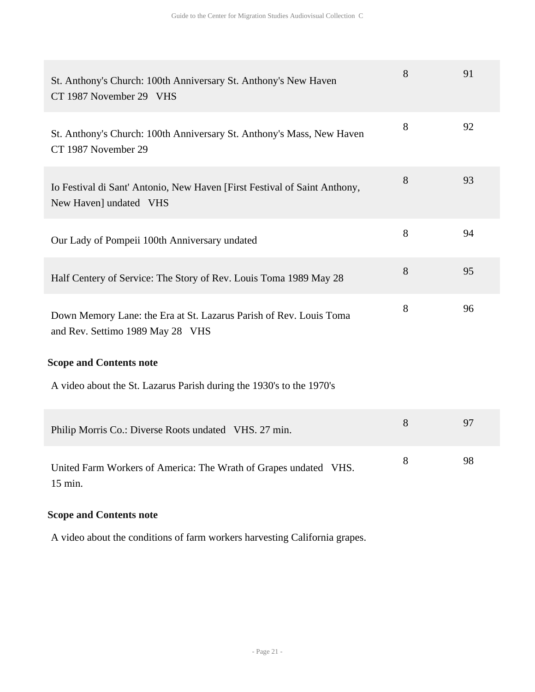| St. Anthony's Church: 100th Anniversary St. Anthony's New Haven<br>CT 1987 November 29 VHS             | 8 | 91 |
|--------------------------------------------------------------------------------------------------------|---|----|
| St. Anthony's Church: 100th Anniversary St. Anthony's Mass, New Haven<br>CT 1987 November 29           | 8 | 92 |
| Io Festival di Sant' Antonio, New Haven [First Festival of Saint Anthony,<br>New Haven] undated VHS    | 8 | 93 |
| Our Lady of Pompeii 100th Anniversary undated                                                          | 8 | 94 |
| Half Centery of Service: The Story of Rev. Louis Toma 1989 May 28                                      | 8 | 95 |
| Down Memory Lane: the Era at St. Lazarus Parish of Rev. Louis Toma<br>and Rev. Settimo 1989 May 28 VHS | 8 | 96 |
| <b>Scope and Contents note</b>                                                                         |   |    |
| A video about the St. Lazarus Parish during the 1930's to the 1970's                                   |   |    |
| Philip Morris Co.: Diverse Roots undated VHS. 27 min.                                                  | 8 | 97 |
| United Farm Workers of America: The Wrath of Grapes undated VHS.<br>15 min.                            | 8 | 98 |

A video about the conditions of farm workers harvesting California grapes.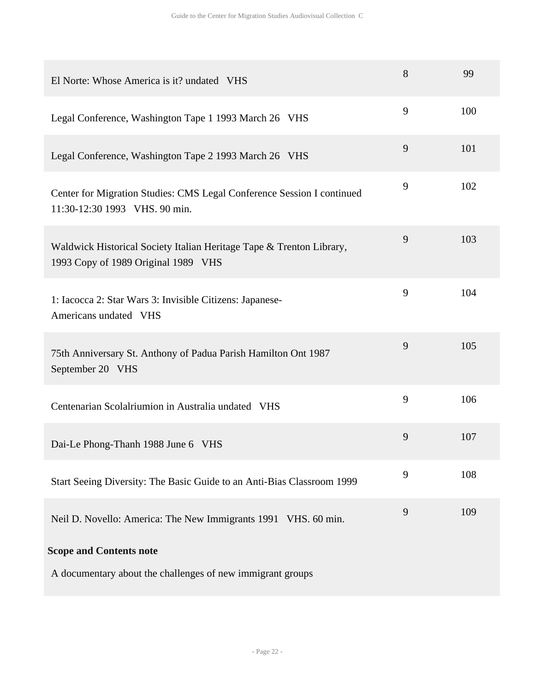| El Norte: Whose America is it? undated VHS                                                                  | 8 | 99  |
|-------------------------------------------------------------------------------------------------------------|---|-----|
| Legal Conference, Washington Tape 1 1993 March 26 VHS                                                       | 9 | 100 |
| Legal Conference, Washington Tape 2 1993 March 26 VHS                                                       | 9 | 101 |
| Center for Migration Studies: CMS Legal Conference Session I continued<br>11:30-12:30 1993 VHS. 90 min.     | 9 | 102 |
| Waldwick Historical Society Italian Heritage Tape & Trenton Library,<br>1993 Copy of 1989 Original 1989 VHS | 9 | 103 |
| 1: Iacocca 2: Star Wars 3: Invisible Citizens: Japanese-<br>Americans undated VHS                           | 9 | 104 |
| 75th Anniversary St. Anthony of Padua Parish Hamilton Ont 1987<br>September 20 VHS                          | 9 | 105 |
| Centenarian Scolalriumion in Australia undated VHS                                                          | 9 | 106 |
| Dai-Le Phong-Thanh 1988 June 6 VHS                                                                          | 9 | 107 |
| Start Seeing Diversity: The Basic Guide to an Anti-Bias Classroom 1999                                      | 9 | 108 |
| Neil D. Novello: America: The New Immigrants 1991 VHS. 60 min.                                              | 9 | 109 |
| <b>Scope and Contents note</b>                                                                              |   |     |
| A documentary about the challenges of new immigrant groups                                                  |   |     |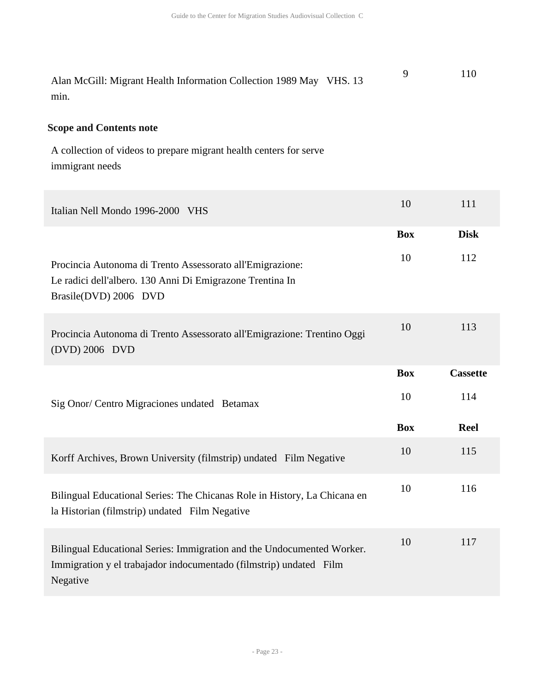Alan McGill: Migrant Health Information Collection 1989 May VHS. 13 min. 9 110

#### **Scope and Contents note**

A collection of videos to prepare migrant health centers for serve immigrant needs

| Italian Nell Mondo 1996-2000 VHS                                                                                                                         | 10         | 111             |
|----------------------------------------------------------------------------------------------------------------------------------------------------------|------------|-----------------|
|                                                                                                                                                          | <b>Box</b> | <b>Disk</b>     |
| Procincia Autonoma di Trento Assessorato all'Emigrazione:<br>Le radici dell'albero. 130 Anni Di Emigrazone Trentina In<br>Brasile(DVD) 2006 DVD          | 10         | 112             |
| Procincia Autonoma di Trento Assessorato all'Emigrazione: Trentino Oggi<br>(DVD) 2006 DVD                                                                | 10         | 113             |
|                                                                                                                                                          | <b>Box</b> | <b>Cassette</b> |
| Sig Onor/ Centro Migraciones undated Betamax                                                                                                             | 10         | 114             |
|                                                                                                                                                          | <b>Box</b> | <b>Reel</b>     |
| Korff Archives, Brown University (filmstrip) undated Film Negative                                                                                       | 10         | 115             |
| Bilingual Educational Series: The Chicanas Role in History, La Chicana en<br>la Historian (filmstrip) undated Film Negative                              | 10         | 116             |
| Bilingual Educational Series: Immigration and the Undocumented Worker.<br>Immigration y el trabajador indocumentado (filmstrip) undated Film<br>Negative | 10         | 117             |